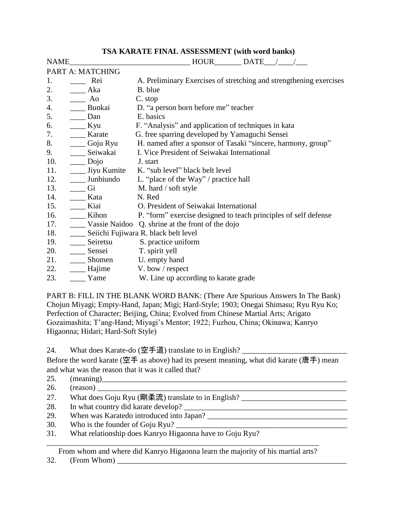## **TSA KARATE FINAL ASSESSMENT (with word banks)**

| <b>NAME</b> |                  | <b>HOUR</b><br><b>DATE</b>                                         |
|-------------|------------------|--------------------------------------------------------------------|
|             | PART A: MATCHING |                                                                    |
| 1.          | Rei              | A. Preliminary Exercises of stretching and strengthening exercises |
| 2.          | Aka              | B. blue                                                            |
| 3.          | Ao               | C. stop                                                            |
| 4.          | Bunkai           | D. "a person born before me" teacher                               |
| 5.          | Dan              | E. basics                                                          |
| 6.          | Kyu              | F. "Analysis" and application of techniques in kata                |
| 7.          | Karate           | G. free sparring developed by Yamaguchi Sensei                     |
| 8.          | Goju Ryu         | H. named after a sponsor of Tasaki "sincere, harmony, group"       |
| 9.          | Seiwakai         | I. Vice President of Seiwakai International                        |
| 10.         | Dojo             | J. start                                                           |
| 11.         | Jiyu Kumite      | K. "sub level" black belt level                                    |
| 12.         | Junbiundo        | L. "place of the Way" / practice hall                              |
| 13.         | Gi               | M. hard / soft style                                               |
| 14.         | Kata             | N. Red                                                             |
| 15.         | Kiai             | O. President of Seiwakai International                             |
| 16.         | Kihon            | P. "form" exercise designed to teach principles of self defense    |
| 17.         |                  | Vassie Naidoo Q. shrine at the front of the dojo                   |
| 18.         |                  | Seiichi Fujiwara R. black belt level                               |
| 19.         | Seiretsu         | S. practice uniform                                                |
| 20.         | Sensei           | T. spirit yell                                                     |
| 21.         | Shomen           | U. empty hand                                                      |
| 22.         | Hajime           | V. bow / respect                                                   |
| 23.         | Yame             | W. Line up according to karate grade                               |

PART B: FILL IN THE BLANK WORD BANK: (There Are Spurious Answers In The Bank) Chojun Miyagi; Empty-Hand, Japan; Migi; Hard-Style; 1903; Onegai Shimasu; Ryu Ryu Ko; Perfection of Character; Beijing, China; Evolved from Chinese Martial Arts; Arigato Gozaimashita; T'ang-Hand; Miyagi's Mentor; 1922; Fuzhou, China; Okinawa; Kanryo Higaonna; Hidari; Hard-Soft Style)

24. What does Karate-do (空手道) translate to in English? \_\_\_\_\_\_\_\_\_\_\_\_\_\_\_\_\_\_\_\_\_\_\_\_\_

Before the word karate (空手 as above) had its present meaning, what did karate (唐手) mean and what was the reason that it was it called that?

25.  $(mearing)$ 

| 26. |  |
|-----|--|
|     |  |

- 27. What does Goju Ryu (剛柔流) translate to in English? \_\_\_\_\_\_\_\_\_\_\_\_\_\_\_\_\_\_\_\_\_\_\_\_\_\_
- 28. In what country did karate develop? \_\_\_\_\_\_\_\_\_\_\_\_\_\_\_\_\_\_\_\_\_\_\_\_\_\_\_\_\_\_\_\_\_\_\_\_\_\_\_\_\_\_
- 29. When was Karatedo introduced into Japan?
- 30. Who is the founder of Goju Ryu?
- 31. What relationship does Kanryo Higaonna have to Goju Ryu?

\_\_\_\_\_\_\_\_\_\_\_\_\_\_\_\_\_\_\_\_\_\_\_\_\_\_\_\_\_\_\_\_\_\_\_\_\_\_\_\_\_\_\_\_\_\_\_\_\_\_\_\_\_\_\_\_\_\_\_\_\_\_\_\_\_\_\_\_\_\_ From whom and where did Kanryo Higaonna learn the majority of his martial arts?

 $32.$  (From Whom)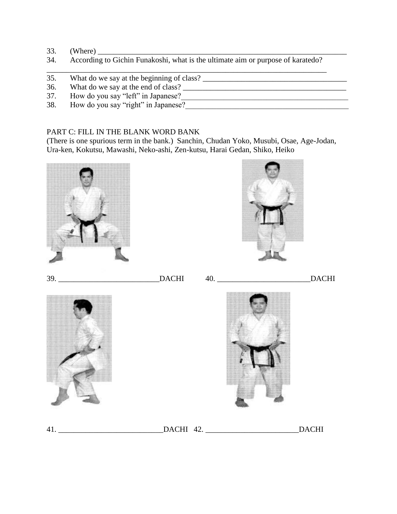- 33. (Where) \_\_\_\_\_\_\_\_\_\_\_\_\_\_\_\_\_\_\_\_\_\_\_\_\_\_\_\_\_\_\_\_\_\_\_\_\_\_\_\_\_\_\_\_\_\_\_\_\_\_\_\_\_\_\_\_\_\_\_\_\_\_\_\_
- 34. According to Gichin Funakoshi, what is the ultimate aim or purpose of karatedo? \_\_\_\_\_\_\_\_\_\_\_\_\_\_\_\_\_\_\_\_\_\_\_\_\_\_\_\_\_\_\_\_\_\_\_\_\_\_\_\_\_\_\_\_\_\_\_\_\_\_\_\_\_\_\_\_\_\_\_\_\_\_\_\_\_\_\_\_\_\_\_\_
- 35. What do we say at the beginning of class? \_\_\_\_\_\_\_\_\_\_\_\_\_\_\_\_\_\_\_\_\_\_\_\_\_\_\_\_\_\_\_\_\_\_\_\_\_
- 36. What do we say at the end of class? \_\_\_\_\_\_\_\_\_\_\_\_\_\_\_\_\_\_\_\_\_\_\_\_\_\_\_\_\_\_\_\_\_\_\_\_\_\_\_\_\_\_
- 37. How do you say "left" in Japanese?
- 38. How do you say "right" in Japanese?\_\_\_\_\_\_\_\_\_\_\_\_\_\_\_\_\_\_\_\_\_\_\_\_\_\_\_\_\_\_\_\_\_\_\_\_\_\_\_\_\_\_

## PART C: FILL IN THE BLANK WORD BANK

(There is one spurious term in the bank.) Sanchin, Chudan Yoko, Musubi, Osae, Age-Jodan, Ura-ken, Kokutsu, Mawashi, Neko-ashi, Zen-kutsu, Harai Gedan, Shiko, Heiko







39. \_\_\_\_\_\_\_\_\_\_\_\_\_\_\_\_\_\_\_\_\_\_\_\_\_\_DACHI 40. \_\_\_\_\_\_\_\_\_\_\_\_\_\_\_\_\_\_\_\_\_\_\_\_DACHI





41. \_\_\_\_\_\_\_\_\_\_\_\_\_\_\_\_\_\_\_\_\_\_\_\_\_\_\_DACHI 42. \_\_\_\_\_\_\_\_\_\_\_\_\_\_\_\_\_\_\_\_\_\_\_\_DACHI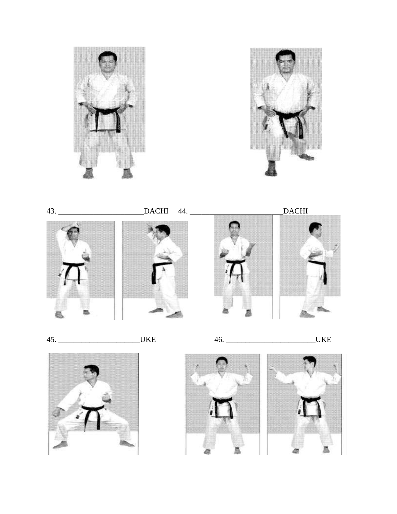





 $45.$ 

\_UKE

 $46.$ 

**UKE**